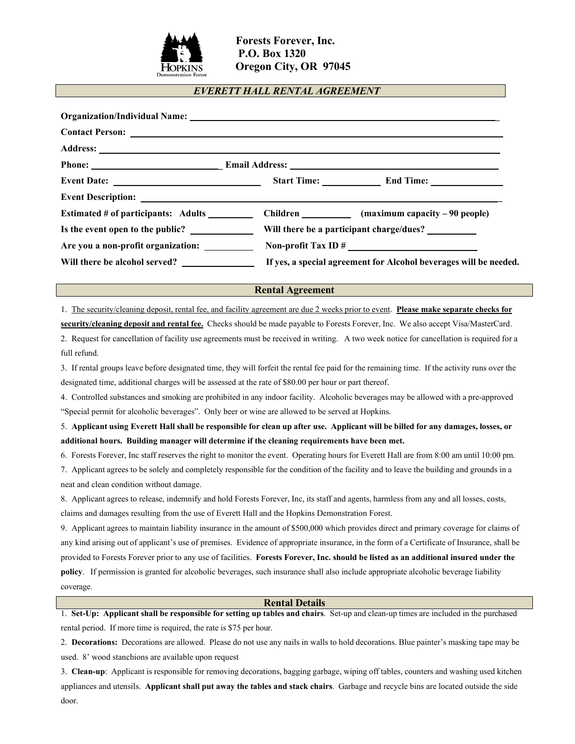

## *EVERETT HALL RENTAL AGREEMENT*

| Organization/Individual Name: 1998. The Contract of the Contract of the Contract of the Contract of the Contract of the Contract of the Contract of the Contract of the Contract of the Contract of the Contract of the Contra |  |  |  |
|--------------------------------------------------------------------------------------------------------------------------------------------------------------------------------------------------------------------------------|--|--|--|
|                                                                                                                                                                                                                                |  |  |  |
|                                                                                                                                                                                                                                |  |  |  |
|                                                                                                                                                                                                                                |  |  |  |
|                                                                                                                                                                                                                                |  |  |  |
|                                                                                                                                                                                                                                |  |  |  |
| Estimated # of participants: Adults Children Children (maximum capacity – 90 people)                                                                                                                                           |  |  |  |
|                                                                                                                                                                                                                                |  |  |  |
|                                                                                                                                                                                                                                |  |  |  |
|                                                                                                                                                                                                                                |  |  |  |

## **Rental Agreement**

1. The security/cleaning deposit, rental fee, and facility agreement are due 2 weeks prior to event. **Please make separate checks for**

**security/cleaning deposit and rental fee.** Checks should be made payable to Forests Forever, Inc. We also accept Visa/MasterCard.

2. Request for cancellation of facility use agreements must be received in writing. A two week notice for cancellation is required for a full refund.

3. If rental groups leave before designated time, they will forfeit the rental fee paid for the remaining time. If the activity runs over the designated time, additional charges will be assessed at the rate of \$80.00 per hour or part thereof.

4. Controlled substances and smoking are prohibited in any indoor facility. Alcoholic beverages may be allowed with a pre-approved "Special permit for alcoholic beverages". Only beer or wine are allowed to be served at Hopkins.

5. Applicant using Everett Hall shall be responsible for clean up after use. Applicant will be billed for any damages, losses, or **additional hours. Building manager will determine if the cleaning requirements have been met.**

6. Forests Forever, Inc staff reserves the right to monitor the event. Operating hours for Everett Hall are from 8:00 am until 10:00 pm.

7. Applicant agrees to be solely and completely responsible for the condition of the facility and to leave the building and grounds in a neat and clean condition without damage.

8. Applicant agrees to release, indemnify and hold Forests Forever, Inc, its staff and agents, harmless from any and all losses, costs, claims and damages resulting from the use of Everett Hall and the Hopkins Demonstration Forest.

9. Applicant agrees to maintain liability insurance in the amount of \$500,000 which provides direct and primary coverage for claims of any kind arising out of applicant's use of premises. Evidence of appropriate insurance, in the form of a Certificate of Insurance, shall be provided to Forests Forever prior to any use of facilities. **Forests Forever, Inc. should be listed as an additional insured under the policy**. If permission is granted for alcoholic beverages, such insurance shall also include appropriate alcoholic beverage liability coverage.

## **Rental Details**

1. **Set-Up: Applicant shall be responsible for setting up tables and chairs**. Set-up and clean-up times are included in the purchased rental period. If more time is required, the rate is \$75 per hour.

2. **Decorations:** Decorations are allowed. Please do not use any nails in walls to hold decorations. Blue painter's masking tape may be used. 8' wood stanchions are available upon request

3. **Clean-up**: Applicant is responsible for removing decorations, bagging garbage, wiping off tables, counters and washing used kitchen appliances and utensils. **Applicant shall put away the tables and stack chairs**. Garbage and recycle bins are located outside the side door.